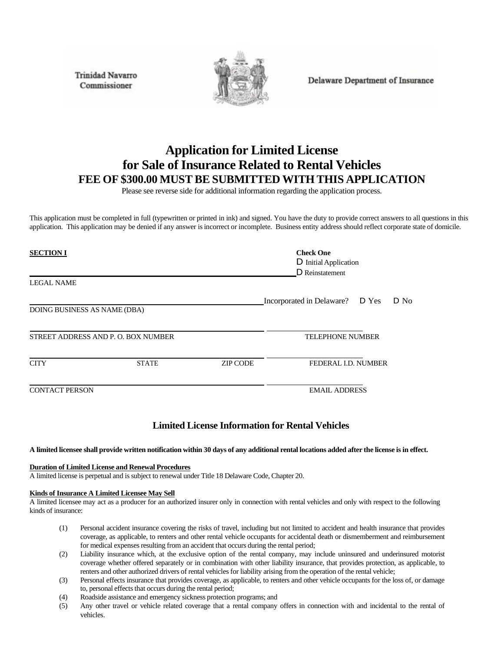**Trinidad Navarro** Commissioner



Delaware Department of Insurance

# **Application for Limited License for Sale of Insurance Related to Rental Vehicles FEE OF \$300.00 MUST BE SUBMITTED WITH THIS APPLICATION**

Please see reverse side for additional information regarding the application process.

This application must be completed in full (typewritten or printed in ink) and signed. You have the duty to provide correct answers to all questions in this application. This application may be denied if any answer isincorrect or incomplete. Business entity address should reflect corporate state of domicile.

| <b>SECTION I</b>                   |              |                 | <b>Check One</b><br>D Initial Application<br>D Reinstatement |  |        |
|------------------------------------|--------------|-----------------|--------------------------------------------------------------|--|--------|
| <b>LEGAL NAME</b>                  |              |                 |                                                              |  |        |
|                                    |              |                 | Incorporated in Delaware? D Yes                              |  | $D$ No |
| DOING BUSINESS AS NAME (DBA)       |              |                 |                                                              |  |        |
| STREET ADDRESS AND P.O. BOX NUMBER |              |                 | <b>TELEPHONE NUMBER</b>                                      |  |        |
| <b>CITY</b>                        | <b>STATE</b> | <b>ZIP CODE</b> | FEDERAL I.D. NUMBER                                          |  |        |
| <b>CONTACT PERSON</b>              |              |                 | <b>EMAIL ADDRESS</b>                                         |  |        |

# **Limited License Information for Rental Vehicles**

## A limited licensee shall provide written notification within 30 days of any additional rental locations added after the license is in effect.

#### **Duration of Limited License and Renewal Procedures**

A limited license is perpetual and is subject to renewal under Title 18 Delaware Code, Chapter 20.

#### **Kinds of Insurance A Limited Licensee May Sell**

A limited licensee may act as a producer for an authorized insurer only in connection with rental vehicles and only with respect to the following kinds of insurance:

- (1) Personal accident insurance covering the risks of travel, including but not limited to accident and health insurance that provides coverage, as applicable, to renters and other rental vehicle occupants for accidental death or dismemberment and reimbursement for medical expenses resulting from an accident that occurs during the rental period;
- (2) Liability insurance which, at the exclusive option of the rental company, may include uninsured and underinsured motorist coverage whether offered separately or in combination with other liability insurance, that provides protection, as applicable, to renters and other authorized drivers of rental vehicles for liability arising from the operation of the rental vehicle;
- (3) Personal effects insurance that provides coverage, as applicable, to renters and other vehicle occupants for the loss of, or damage to, personal effects that occurs during the rental period;
- (4) Roadside assistance and emergency sickness protection programs; and
- (5) Any other travel or vehicle related coverage that a rental company offers in connection with and incidental to the rental of vehicles.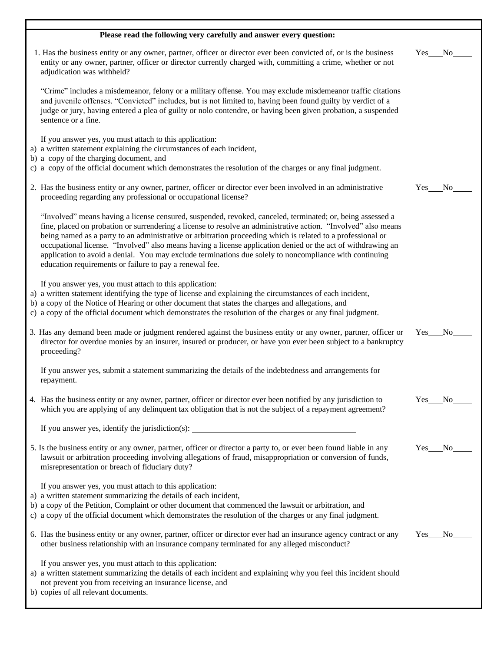| Please read the following very carefully and answer every question:                                                                                                                                                                                                                                                                                                                                                                                                                                                                                                                                                               |                              |
|-----------------------------------------------------------------------------------------------------------------------------------------------------------------------------------------------------------------------------------------------------------------------------------------------------------------------------------------------------------------------------------------------------------------------------------------------------------------------------------------------------------------------------------------------------------------------------------------------------------------------------------|------------------------------|
| 1. Has the business entity or any owner, partner, officer or director ever been convicted of, or is the business<br>entity or any owner, partner, officer or director currently charged with, committing a crime, whether or not<br>adjudication was withheld?                                                                                                                                                                                                                                                                                                                                                                    | N <sub>0</sub><br>Yes        |
| "Crime" includes a misdemeanor, felony or a military offense. You may exclude misdemeanor traffic citations<br>and juvenile offenses. "Convicted" includes, but is not limited to, having been found guilty by verdict of a<br>judge or jury, having entered a plea of guilty or nolo contendre, or having been given probation, a suspended<br>sentence or a fine.                                                                                                                                                                                                                                                               |                              |
| If you answer yes, you must attach to this application:<br>a) a written statement explaining the circumstances of each incident,<br>b) a copy of the charging document, and<br>c) a copy of the official document which demonstrates the resolution of the charges or any final judgment.                                                                                                                                                                                                                                                                                                                                         |                              |
| 2. Has the business entity or any owner, partner, officer or director ever been involved in an administrative<br>proceeding regarding any professional or occupational license?                                                                                                                                                                                                                                                                                                                                                                                                                                                   | <b>Yes</b><br>N <sub>0</sub> |
| "Involved" means having a license censured, suspended, revoked, canceled, terminated; or, being assessed a<br>fine, placed on probation or surrendering a license to resolve an administrative action. "Involved" also means<br>being named as a party to an administrative or arbitration proceeding which is related to a professional or<br>occupational license. "Involved" also means having a license application denied or the act of withdrawing an<br>application to avoid a denial. You may exclude terminations due solely to noncompliance with continuing<br>education requirements or failure to pay a renewal fee. |                              |
| If you answer yes, you must attach to this application:<br>a) a written statement identifying the type of license and explaining the circumstances of each incident,<br>b) a copy of the Notice of Hearing or other document that states the charges and allegations, and<br>c) a copy of the official document which demonstrates the resolution of the charges or any final judgment.                                                                                                                                                                                                                                           |                              |
| 3. Has any demand been made or judgment rendered against the business entity or any owner, partner, officer or<br>director for overdue monies by an insurer, insured or producer, or have you ever been subject to a bankruptcy<br>proceeding?                                                                                                                                                                                                                                                                                                                                                                                    | Yes<br>N <sub>0</sub>        |
| If you answer yes, submit a statement summarizing the details of the indebtedness and arrangements for<br>repayment.                                                                                                                                                                                                                                                                                                                                                                                                                                                                                                              |                              |
| 4. Has the business entity or any owner, partner, officer or director ever been notified by any jurisdiction to<br>which you are applying of any delinquent tax obligation that is not the subject of a repayment agreement?                                                                                                                                                                                                                                                                                                                                                                                                      | $Yes$ No                     |
| If you answer yes, identify the jurisdiction(s): ________________________________                                                                                                                                                                                                                                                                                                                                                                                                                                                                                                                                                 |                              |
| 5. Is the business entity or any owner, partner, officer or director a party to, or ever been found liable in any<br>lawsuit or arbitration proceeding involving allegations of fraud, misappropriation or conversion of funds,<br>misrepresentation or breach of fiduciary duty?                                                                                                                                                                                                                                                                                                                                                 | Yes<br>No.                   |
| If you answer yes, you must attach to this application:<br>a) a written statement summarizing the details of each incident,<br>b) a copy of the Petition, Complaint or other document that commenced the lawsuit or arbitration, and<br>c) a copy of the official document which demonstrates the resolution of the charges or any final judgment.                                                                                                                                                                                                                                                                                |                              |
| 6. Has the business entity or any owner, partner, officer or director ever had an insurance agency contract or any<br>other business relationship with an insurance company terminated for any alleged misconduct?                                                                                                                                                                                                                                                                                                                                                                                                                | Yes No                       |
| If you answer yes, you must attach to this application:<br>a) a written statement summarizing the details of each incident and explaining why you feel this incident should<br>not prevent you from receiving an insurance license, and<br>b) copies of all relevant documents.                                                                                                                                                                                                                                                                                                                                                   |                              |